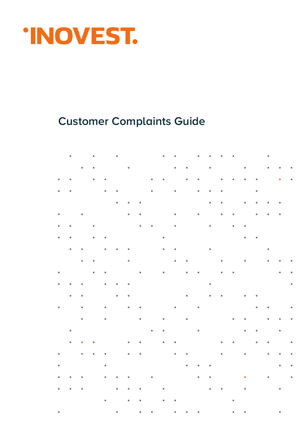

## **Customer Complaints Guide**

|           | ٠         |                                                    | $\bullet$                |                               |                                                                                                                                                                                                                                    |                              |                  |                                                                         | $\bullet$<br>$\mathcal{L}^{\mathcal{L}}$ |                                                                                                     | $\bullet$      | $\bullet$                                                                    |                                                          | $\bullet$ |                                                        |                            |                                                                     | $\bullet$ . The set of $\mathcal{O}(\mathbb{R}^d)$                                                                                                                                     |           |
|-----------|-----------|----------------------------------------------------|--------------------------|-------------------------------|------------------------------------------------------------------------------------------------------------------------------------------------------------------------------------------------------------------------------------|------------------------------|------------------|-------------------------------------------------------------------------|------------------------------------------|-----------------------------------------------------------------------------------------------------|----------------|------------------------------------------------------------------------------|----------------------------------------------------------|-----------|--------------------------------------------------------|----------------------------|---------------------------------------------------------------------|----------------------------------------------------------------------------------------------------------------------------------------------------------------------------------------|-----------|
|           |           | $\bullet$ . $\bullet$                              | $\bullet$                |                               |                                                                                                                                                                                                                                    |                              |                  | $\bullet$ . The contract of the contract of $\mathcal{O}(\mathbb{R}^d)$ |                                          | $\bullet$ , $\bullet$ , $\bullet$ , $\bullet$ , $\bullet$ , $\bullet$                               |                | $\bullet$ .                                                                  |                                                          |           |                                                        |                            | $\bullet$ $\qquad$ $\bullet$                                        |                                                                                                                                                                                        |           |
| $\bullet$ | $\bullet$ |                                                    | $\bullet$ . $\bullet$    |                               |                                                                                                                                                                                                                                    |                              |                  | $\bullet$ $\bullet$ $\bullet$ $\bullet$                                 |                                          |                                                                                                     |                | $\bullet \qquad \bullet \qquad \bullet \qquad \bullet$                       | $\bullet$ . $\bullet$                                    |           | $\bullet$ . $\bullet$ .                                |                            |                                                                     | $\bullet$                                                                                                                                                                              | $\bullet$ |
|           |           |                                                    |                          |                               |                                                                                                                                                                                                                                    |                              |                  |                                                                         |                                          |                                                                                                     |                |                                                                              |                                                          |           |                                                        |                            |                                                                     |                                                                                                                                                                                        |           |
| $\bullet$ | $\bullet$ |                                                    |                          | $\bullet$ $\bullet$ $\bullet$ |                                                                                                                                                                                                                                    |                              |                  | $\bullet$                                                               |                                          | $\bullet$ and $\bullet$                                                                             |                | $\bullet \qquad \bullet \qquad \bullet \qquad \bullet \qquad \qquad \bullet$ |                                                          |           |                                                        | $\bullet$                  |                                                                     |                                                                                                                                                                                        |           |
|           |           |                                                    |                          |                               |                                                                                                                                                                                                                                    |                              |                  |                                                                         |                                          |                                                                                                     |                | $\bullet$ . $\bullet$                                                        |                                                          |           | $\bullet$                                              | $\bullet$                  | $\bullet$ . $\bullet$                                               | $\bullet$                                                                                                                                                                              |           |
| $\bullet$ |           | $\bullet$                                          |                          |                               |                                                                                                                                                                                                                                    |                              |                  |                                                                         |                                          |                                                                                                     |                |                                                                              | $\sim$ 100 $\pm$<br>$\bullet$                            |           |                                                        | ٠                          | $\bullet$ .<br><br><br><br><br><br><br><br><br><br><br><br><br><br> | $\bullet$                                                                                                                                                                              |           |
| $\bullet$ | $\bullet$ |                                                    |                          |                               |                                                                                                                                                                                                                                    |                              |                  |                                                                         |                                          |                                                                                                     |                |                                                                              |                                                          |           | $\bullet \qquad \bullet \qquad \bullet \qquad \bullet$ |                            |                                                                     |                                                                                                                                                                                        |           |
| $\bullet$ | $\bullet$ |                                                    | $\bullet$                | $\mathcal{L}^{\mathcal{A}}$ . |                                                                                                                                                                                                                                    |                              |                  |                                                                         |                                          |                                                                                                     |                |                                                                              |                                                          |           |                                                        |                            |                                                                     |                                                                                                                                                                                        |           |
|           |           |                                                    |                          |                               |                                                                                                                                                                                                                                    |                              |                  |                                                                         |                                          |                                                                                                     |                |                                                                              |                                                          |           |                                                        |                            |                                                                     |                                                                                                                                                                                        |           |
|           | $\bullet$ | $\sim$ 000 $\pm$                                   |                          | $\bullet$                     | $\sim 10$<br>$\bullet$                                                                                                                                                                                                             |                              |                  |                                                                         |                                          |                                                                                                     |                |                                                                              |                                                          |           |                                                        |                            |                                                                     |                                                                                                                                                                                        |           |
|           |           | $\bullet$ $\bullet$ $\bullet$                      |                          |                               | $\bullet$ . The contract of the contract of the contract of the contract of the contract of the contract of the contract of the contract of the contract of the contract of the contract of the contract of the contract of the co |                              |                  |                                                                         |                                          |                                                                                                     |                |                                                                              |                                                          |           | $\bullet$                                              |                            | $\bullet$ . $\bullet$                                               | $\bullet$<br>$\sim$ $-$                                                                                                                                                                |           |
| $\bullet$ |           |                                                    | $\bullet \qquad \bullet$ |                               |                                                                                                                                                                                                                                    |                              |                  |                                                                         |                                          | $\bullet \qquad \bullet \qquad \bullet \qquad \bullet \qquad \bullet \qquad \bullet \qquad \bullet$ |                |                                                                              | $\bullet$ $\cdots$ $\bullet$                             |           |                                                        |                            |                                                                     |                                                                                                                                                                                        |           |
| $\bullet$ | ۰         |                                                    |                          | ۰                             |                                                                                                                                                                                                                                    |                              |                  |                                                                         |                                          |                                                                                                     |                |                                                                              |                                                          |           |                                                        |                            |                                                                     |                                                                                                                                                                                        |           |
|           | $\bullet$ | $\bullet$                                          |                          |                               | $\mathbf{r} = \mathbf{r} \cdot \mathbf{r}$ and $\mathbf{r} = \mathbf{r} \cdot \mathbf{r}$ and $\mathbf{r} = \mathbf{r} \cdot \mathbf{r}$                                                                                           |                              |                  |                                                                         |                                          |                                                                                                     |                | $\bullet \qquad \bullet$                                                     |                                                          |           |                                                        |                            |                                                                     | $\Phi_{\alpha\beta} = \Phi_{\alpha\beta} = \left\{ \begin{array}{ll} 0 & \text{if} \quad \alpha \in \mathbb{R}^n, \\ 0 & \text{if} \quad \alpha \in \mathbb{R}^n, \end{array} \right.$ |           |
|           |           |                                                    |                          |                               |                                                                                                                                                                                                                                    |                              |                  |                                                                         |                                          |                                                                                                     |                |                                                                              |                                                          |           |                                                        |                            |                                                                     |                                                                                                                                                                                        |           |
| $\bullet$ |           | $\bullet$                                          |                          | $\bullet$                     |                                                                                                                                                                                                                                    | $\bullet$                    | $\sim$ $\bullet$ |                                                                         |                                          |                                                                                                     |                |                                                                              |                                                          |           |                                                        | $\bullet$                  | $\bullet$                                                           |                                                                                                                                                                                        | $\bullet$ |
|           |           | $\bullet$ . The set of $\mathcal{O}(\mathbb{R}^d)$ |                          | $\sim$                        |                                                                                                                                                                                                                                    |                              | $\bullet$ .      |                                                                         |                                          | $\bullet \qquad \qquad \bullet \qquad \qquad \bullet$                                               |                |                                                                              |                                                          |           | $\bullet$ . $\bullet$ .                                |                            | $\bullet$                                                           | $\bullet$ . $\bullet$                                                                                                                                                                  | $\bullet$ |
|           | $\bullet$ |                                                    |                          |                               |                                                                                                                                                                                                                                    |                              |                  | $\sim$ $\sim$<br>$\bullet$                                              |                                          |                                                                                                     | $\blacksquare$ |                                                                              |                                                          |           | $\bullet$                                              | $\mathcal{L}=\mathbf{0}$ . |                                                                     | $\bullet$ .<br><br><br><br><br><br><br><br><br><br><br><br><br><br><br><br><br><br><br><br><br><br><br><br><br><br><br><br><br><br><br><br><br><br>                                    |           |
|           | ٠         | $\sim 100$<br>$\bullet$                            |                          |                               |                                                                                                                                                                                                                                    | $\bullet$                    | $\bullet$        |                                                                         |                                          | $\bullet \qquad \bullet \qquad \bullet \qquad \bullet \qquad \bullet$                               |                |                                                                              | $\bullet$ . $\bullet$ .                                  | $\bullet$ |                                                        | $\bullet$                  | $\bullet$                                                           |                                                                                                                                                                                        | $\bullet$ |
| $\bullet$ |           | $\bullet$ . $\bullet$                              | $\bullet$                | $\mathcal{L}^{\mathcal{L}}$   |                                                                                                                                                                                                                                    | $\bullet$ $\cdots$ $\bullet$ |                  |                                                                         |                                          | $\bullet \qquad \bullet \qquad \bullet \qquad \bullet$                                              |                |                                                                              | $\bullet$                                                |           | $\bullet$                                              |                            | $\bullet$ .                                                         | $\bullet$<br>$\sim 100$                                                                                                                                                                |           |
|           |           |                                                    |                          |                               |                                                                                                                                                                                                                                    |                              |                  |                                                                         |                                          |                                                                                                     |                |                                                                              |                                                          |           |                                                        |                            |                                                                     |                                                                                                                                                                                        |           |
| $\bullet$ |           |                                                    |                          |                               |                                                                                                                                                                                                                                    |                              |                  |                                                                         |                                          |                                                                                                     |                |                                                                              |                                                          |           |                                                        |                            |                                                                     | $\bullet$ , $\bullet$ , $\bullet$                                                                                                                                                      |           |
|           |           |                                                    |                          |                               |                                                                                                                                                                                                                                    |                              |                  |                                                                         |                                          |                                                                                                     |                |                                                                              |                                                          |           |                                                        |                            |                                                                     |                                                                                                                                                                                        |           |
|           |           |                                                    |                          |                               |                                                                                                                                                                                                                                    |                              |                  |                                                                         |                                          |                                                                                                     |                |                                                                              |                                                          |           | $\mathbf{e}^{\mathrm{H}}$ .                            |                            |                                                                     |                                                                                                                                                                                        |           |
|           |           |                                                    |                          |                               |                                                                                                                                                                                                                                    |                              |                  |                                                                         |                                          |                                                                                                     |                |                                                                              | $\mathcal{L}^{\mathcal{L}}(\mathcal{L}^{\mathcal{L}})$ . |           |                                                        |                            |                                                                     |                                                                                                                                                                                        |           |
| $\bullet$ |           |                                                    |                          |                               |                                                                                                                                                                                                                                    |                              |                  |                                                                         |                                          |                                                                                                     |                |                                                                              |                                                          |           | $\bullet$ . $\bullet$ . $\bullet$                      |                            |                                                                     | $\bullet$ . The $\sim$                                                                                                                                                                 |           |
|           |           |                                                    |                          |                               |                                                                                                                                                                                                                                    |                              |                  |                                                                         |                                          |                                                                                                     |                |                                                                              |                                                          |           |                                                        |                            |                                                                     |                                                                                                                                                                                        |           |